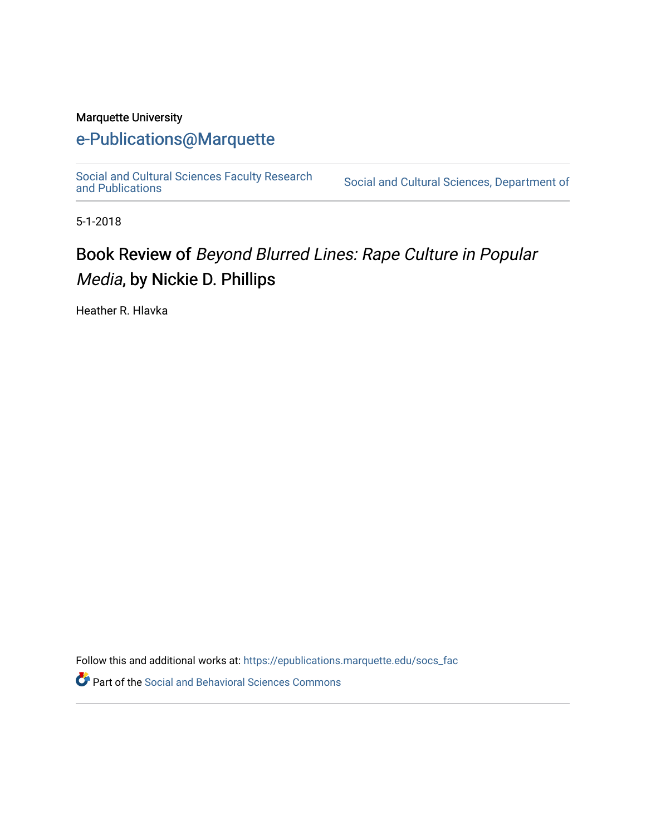#### Marquette University

## [e-Publications@Marquette](https://epublications.marquette.edu/)

[Social and Cultural Sciences Faculty Research](https://epublications.marquette.edu/socs_fac) [and Publications](https://epublications.marquette.edu/socs_fac) [Social and Cultural Sciences, Department of](https://epublications.marquette.edu/socs) 

5-1-2018

## Book Review of Beyond Blurred Lines: Rape Culture in Popular Media, by Nickie D. Phillips

Heather R. Hlavka

Follow this and additional works at: [https://epublications.marquette.edu/socs\\_fac](https://epublications.marquette.edu/socs_fac?utm_source=epublications.marquette.edu%2Fsocs_fac%2F264&utm_medium=PDF&utm_campaign=PDFCoverPages)

Part of the [Social and Behavioral Sciences Commons](http://network.bepress.com/hgg/discipline/316?utm_source=epublications.marquette.edu%2Fsocs_fac%2F264&utm_medium=PDF&utm_campaign=PDFCoverPages)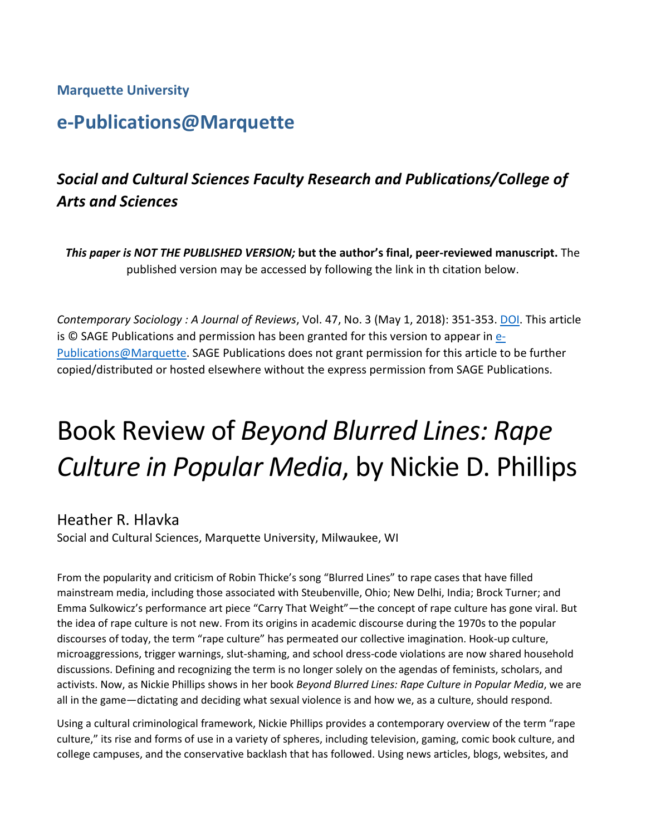#### **Marquette University**

## **e-Publications@Marquette**

## *Social and Cultural Sciences Faculty Research and Publications/College of Arts and Sciences*

*This paper is NOT THE PUBLISHED VERSION;* **but the author's final, peer-reviewed manuscript.** The published version may be accessed by following the link in th citation below.

*Contemporary Sociology : A Journal of Reviews*, Vol. 47, No. 3 (May 1, 2018): 351-353. [DOI.](https://doi.org/10.1177%2F0094306118767651ii) This article is © SAGE Publications and permission has been granted for this version to appear in [e-](http://epublications.marquette.edu/)[Publications@Marquette.](http://epublications.marquette.edu/) SAGE Publications does not grant permission for this article to be further copied/distributed or hosted elsewhere without the express permission from SAGE Publications.

# Book Review of *Beyond Blurred Lines: Rape Culture in Popular Media*, by Nickie D. Phillips

#### Heather R. Hlavka

Social and Cultural Sciences, Marquette University, Milwaukee, WI

From the popularity and criticism of Robin Thicke's song "Blurred Lines" to rape cases that have filled mainstream media, including those associated with Steubenville, Ohio; New Delhi, India; Brock Turner; and Emma Sulkowicz's performance art piece "Carry That Weight"—the concept of rape culture has gone viral. But the idea of rape culture is not new. From its origins in academic discourse during the 1970s to the popular discourses of today, the term "rape culture" has permeated our collective imagination. Hook-up culture, microaggressions, trigger warnings, slut-shaming, and school dress-code violations are now shared household discussions. Defining and recognizing the term is no longer solely on the agendas of feminists, scholars, and activists. Now, as Nickie Phillips shows in her book *Beyond Blurred Lines: Rape Culture in Popular Media*, we are all in the game—dictating and deciding what sexual violence is and how we, as a culture, should respond.

Using a cultural criminological framework, Nickie Phillips provides a contemporary overview of the term "rape culture," its rise and forms of use in a variety of spheres, including television, gaming, comic book culture, and college campuses, and the conservative backlash that has followed. Using news articles, blogs, websites, and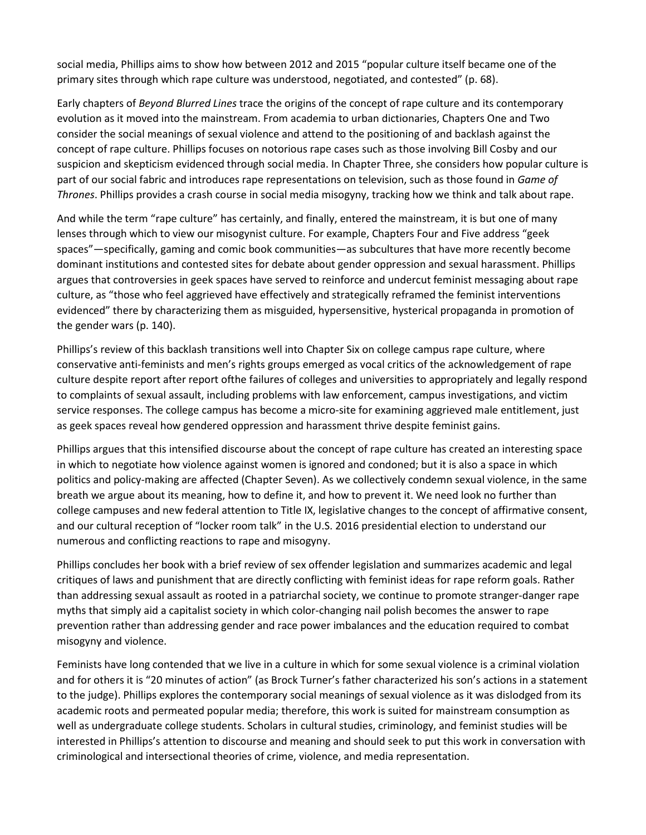social media, Phillips aims to show how between 2012 and 2015 "popular culture itself became one of the primary sites through which rape culture was understood, negotiated, and contested" (p. 68).

Early chapters of *Beyond Blurred Lines* trace the origins of the concept of rape culture and its contemporary evolution as it moved into the mainstream. From academia to urban dictionaries, Chapters One and Two consider the social meanings of sexual violence and attend to the positioning of and backlash against the concept of rape culture. Phillips focuses on notorious rape cases such as those involving Bill Cosby and our suspicion and skepticism evidenced through social media. In Chapter Three, she considers how popular culture is part of our social fabric and introduces rape representations on television, such as those found in *Game of Thrones*. Phillips provides a crash course in social media misogyny, tracking how we think and talk about rape.

And while the term "rape culture" has certainly, and finally, entered the mainstream, it is but one of many lenses through which to view our misogynist culture. For example, Chapters Four and Five address "geek spaces"—specifically, gaming and comic book communities—as subcultures that have more recently become dominant institutions and contested sites for debate about gender oppression and sexual harassment. Phillips argues that controversies in geek spaces have served to reinforce and undercut feminist messaging about rape culture, as "those who feel aggrieved have effectively and strategically reframed the feminist interventions evidenced" there by characterizing them as misguided, hypersensitive, hysterical propaganda in promotion of the gender wars (p. 140).

Phillips's review of this backlash transitions well into Chapter Six on college campus rape culture, where conservative anti-feminists and men's rights groups emerged as vocal critics of the acknowledgement of rape culture despite report after report ofthe failures of colleges and universities to appropriately and legally respond to complaints of sexual assault, including problems with law enforcement, campus investigations, and victim service responses. The college campus has become a micro-site for examining aggrieved male entitlement, just as geek spaces reveal how gendered oppression and harassment thrive despite feminist gains.

Phillips argues that this intensified discourse about the concept of rape culture has created an interesting space in which to negotiate how violence against women is ignored and condoned; but it is also a space in which politics and policy-making are affected (Chapter Seven). As we collectively condemn sexual violence, in the same breath we argue about its meaning, how to define it, and how to prevent it. We need look no further than college campuses and new federal attention to Title IX, legislative changes to the concept of affirmative consent, and our cultural reception of "locker room talk" in the U.S. 2016 presidential election to understand our numerous and conflicting reactions to rape and misogyny.

Phillips concludes her book with a brief review of sex offender legislation and summarizes academic and legal critiques of laws and punishment that are directly conflicting with feminist ideas for rape reform goals. Rather than addressing sexual assault as rooted in a patriarchal society, we continue to promote stranger-danger rape myths that simply aid a capitalist society in which color-changing nail polish becomes the answer to rape prevention rather than addressing gender and race power imbalances and the education required to combat misogyny and violence.

Feminists have long contended that we live in a culture in which for some sexual violence is a criminal violation and for others it is "20 minutes of action" (as Brock Turner's father characterized his son's actions in a statement to the judge). Phillips explores the contemporary social meanings of sexual violence as it was dislodged from its academic roots and permeated popular media; therefore, this work is suited for mainstream consumption as well as undergraduate college students. Scholars in cultural studies, criminology, and feminist studies will be interested in Phillips's attention to discourse and meaning and should seek to put this work in conversation with criminological and intersectional theories of crime, violence, and media representation.